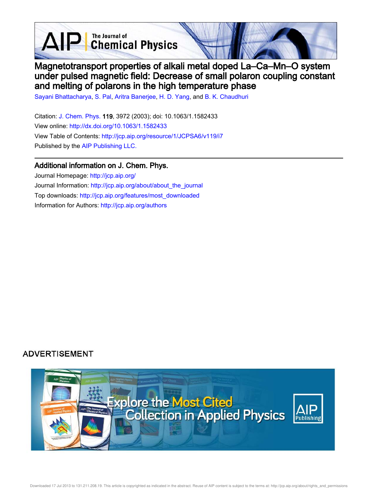**D** The Journal of Chemical Physics



# Magnetotransport properties of alkali metal doped La–Ca–Mn–O system under pulsed magnetic field: Decrease of small polaron coupling constant and melting of polarons in the high temperature phase

Sayani Bhattacharya, S. Pal, Aritra Banerjee, H. D. Yang, and B. K. Chaudhuri

Citation: J. Chem. Phys. 119, 3972 (2003); doi: 10.1063/1.1582433 View online: http://dx.doi.org/10.1063/1.1582433 View Table of Contents: http://jcp.aip.org/resource/1/JCPSA6/v119/i7 Published by the AIP Publishing LLC.

### Additional information on J. Chem. Phys.

Journal Homepage: http://jcp.aip.org/ Journal Information: http://jcp.aip.org/about/about\_the\_journal Top downloads: http://jcp.aip.org/features/most\_downloaded Information for Authors: http://jcp.aip.org/authors

## **ADVERTISEMENT**

 $\Delta \mathsf{F}$ 

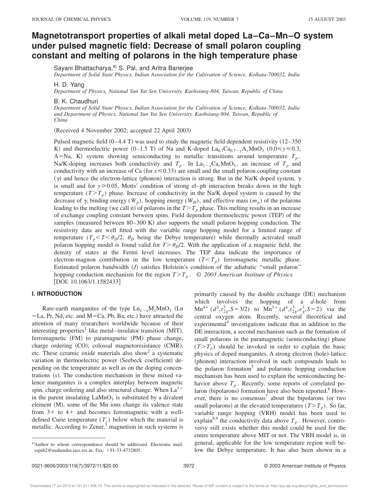### **Magnetotransport properties of alkali metal doped La–Ca–Mn–O system under pulsed magnetic field: Decrease of small polaron coupling constant and melting of polarons in the high temperature phase**

Sayani Bhattacharya,<sup>a)</sup> S. Pal, and Aritra Banerjee

*Department of Solid State Physics, Indian Association for the Cultivation of Science, Kolkata-700032, India*

H. D. Yang

*Department of Physics, National Sun Yat Sen University, Kaohsiung-804, Taiwan, Republic of China*

B. K. Chaudhuri

*Department of Solid State Physics, Indian Association for the Cultivation of Science, Kolkata-700032, India and Department of Physics, National Sun Yat Sen University, Kaohsiung-804, Taiwan, Republic of China*

(Received 4 November 2002; accepted 22 April 2003)

Pulsed magnetic field  $(0-4.4 T)$  was used to study the magnetic field dependent resistivity  $(12-350$ K) and thermoelectric power (0–1.5 T) of Na and K-doped  $La_{0.7}Ca_{0.7-y}A_yMnO_3$  (0.0  $\leq y \leq 0.3$ , A=Na, K) system showing semiconducting to metallic transitions around temperature  $T_p$ . Na/K-doping increases both conductivity and  $T_p$ . In La<sub>1-x</sub>Ca<sub>x</sub>MnO<sub>3</sub>, an increase of  $T_p$  and conductivity with an increase of Ca (for  $x \le 0.33$ ) are small and the small polaron coupling constant  $(\gamma)$  and hence the electron-lattice (phonon) interaction is strong. But in the Na/K doped system,  $\gamma$ is small and for  $y \ge 0.05$ , Motts' condition of strong el–ph interaction breaks down in the high temperature  $(T>T_p)$  phase. Increase of conductivity in the Na/K doped system is caused by the decrease of  $\gamma$ , binding energy  $(W_p)$ , hopping energy  $(W_H)$ , and effective mass  $(m_p)$  of the polarons leading to the melting (we call it) of polarons in the  $T>T_p$  phase. This melting results in an increase of exchange coupling constant between spins. Field dependent thermoelectric power (TEP) of the samples (measured between  $80-300$  K) also supports the small polaron hopping conduction. The resistivity data are well fitted with the variable range hopping model for a limited range of temperature  $(T_p \le T \le \theta_p/2, \theta_p$  being the Debye temperature) while thermally activated small polaron hopping model is found valid for  $T > \theta_p/2$ . With the application of a magnetic field, the density of states at the Fermi level increases. The TEP data indicate the importance of electron-magnon contribution in the low temperature  $(T < T_p)$  ferromagnetic metallic phase. Estimated polaron bandwidth (*J*) satisfies Holstein's condition of the adiabatic "small polaron" hopping conduction mechanism for the region  $T>T_p$ . © 2003 American Institute of Physics. [DOI: 10.1063/1.1582433]

#### **I. INTRODUCTION**

Rare-earth manganites of the type  $Ln_{1-x}M_xMnO_3$  (Ln  $=L$ a, Pr, Nd, etc. and M=Ca, Pb, Ba, etc.) have attracted the attention of many researchers worldwide because of their interesting properties<sup>1</sup> like metal–insulator transition (MIT), ferromagnetic (FM) to paramagnetic (PM) phase change, charge ordering (CO), colossal magnetoresistance (CMR), etc. These ceramic oxide materials also show<sup>2</sup> a systematic variation in thermoelectric power (Seebeck coefficient) depending on the temperature as well as on the doping concentrations  $(x)$ . The conduction mechanism in these mixed valence manganites is a complex interplay between magnetic spin, charge ordering and also structural change. When  $La^{3+}$ in the parent insulating  $\text{LaMnO}_3$  is substituted by a divalent element  $(M)$ , some of the Mn ions change its valence state from  $3+$  to  $4+$  and becomes ferromagnetic with a welldefined Curie temperature  $(T_c)$  below which the material is metallic. According to Zener, $3$  magnetism in such systems is primarily caused by the double exchange (DE) mechanism which involves the hopping of a *d*-hole from  $Mn^{4+}$  ( $d^3$ , $t^3_{2g}$ , $S=3/2$ ) to  $Mn^{3+}$  ( $d^4$ , $t^3_{2g}$ , $e^1_g$ , $S=2$ ) via the central oxygen atom. Recently, several theoretical and experimental $4$  investigations indicate that in addition to the DE interaction, a second mechanism such as the formation of small polarons in the paramagnetic (semiconducting) phase  $(T>T_p)$  should be invoked in order to explain the basic physics of doped manganites. A strong electron (hole)-lattice (phonon) interaction involved in such compounds leads to the polaron formation<sup>5</sup> and polaronic hopping conduction mechanism has been used to explain the semiconducting behavior above  $T_p$ . Recently, some reports of correlated polaron (bipolarons) formation have also been reported.<sup>6</sup> However, there is no consensus<sup>7</sup> about the bipolarons (or two small polarons) at the elevated temperatures  $(T>T_p)$ . So far, variable range hopping (VRH) model has been used to explain<sup>8,9</sup> the conductivity data above  $T_p$ . However, controversy still exists whether this model could be used for the entire temperature above MIT or not. The VRH model is, in general, applicable for the low temperature region well below the Debye temperature. It has also been shown in a

a)Author to whom correspondence should be addressed. Electronic mail: sspsb2@mahendra.iacs.res.in; Fax: +91-33-4732805.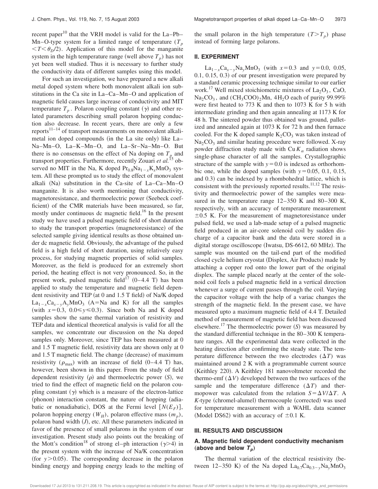recent paper<sup>10</sup> that the VRH model is valid for the La–Pb– Mn–O-type system for a limited range of temperature  $(T_p$  $\langle T \langle \theta_p/2 \rangle$ . Application of this model for the manganite system in the high temperature range (well above  $T_p$ ) has not yet been well studied. Thus it is necessary to further study the conductivity data of different samples using this model.

For such an investigation, we have prepared a new alkali metal doped system where both monovalent alkali ion substitutions in the Ca site in La–Ca–Mn–O and application of magnetic field causes large increase of conductivity and MIT temperature  $T_p$ . Polaron coupling constant  $(\gamma)$  and other related parameters describing small polaron hopping conduction also decrease. In recent years, there are only a few reports $11-14$  of transport measurements on monovalent alkalimetal ion doped compounds (in the La site only) like La– Na–Mn–O, La–K–Mn–O, and La–Sr–Na–Mn–O. But there is no consensus on the effect of Na doping on  $T_p$  and transport properties. Furthermore, recently Zouari *et al.*<sup>15</sup> observed no MIT in the Na, K doped  $Pr_{0.8}Na_{1-x}K_xMnO_3$  system. All these prompted us to study the effect of monovalent alkali  $(Na)$  substitution in the Ca-site of La–Ca–Mn–O manganite. It is also worth mentioning that conductivity, magnetoresistance, and thermoelectric power (Seebeck coefficient) of the CMR materials have been measured, so far, mostly under continuous dc magnetic field.<sup>16</sup> In the present study we have used a pulsed magnetic field of short duration to study the transport properties (magnetoresistance) of the selected sample giving identical results as those obtained under dc magnetic field. Obviously, the advantage of the pulsed field is a high field of short duration, using relatively easy process, for studying magnetic properties of solid samples. Moreover, as the field is produced for an extremely short period, the heating effect is not very pronounced. So, in the present work, pulsed magnetic field<sup> $17}$ </sup> (0–4.4 T) has been applied to study the temperature and magnetic field dependent resistivity and TEP (at 0 and 1.5 T field) of Na/K doped  $La_{1-x}Ca_{x-y}A_yMnO_3$  (A=Na and K) for all the samples (with  $x=0.3$ ,  $0.0 \le y \le 0.3$ ). Since both Na and K doped samples show the same thermal variation of resistivity and TEP data and identical theoretical analysis is valid for all the samples, we concentrate our discussion on the Na doped samples only. Moreover, since TEP has been measured at 0 and 1.5 T magnetic field, resistivity data are shown only at 0 and  $1.5$  T magnetic field. The change (decrease) of maximum resistivity ( $\rho_{\text{max}}$ ) with an increase of field (0–4.4 T) has, however, been shown in this paper. From the study of field dependent resistivity  $(\rho)$  and thermoelectric power  $(S)$ , we tried to find the effect of magnetic field on the polaron coupling constant  $(y)$  which is a measure of the electron-lattice  $(phonom)$  interaction constant, the nature of hopping  $(adia$ batic or nonadiabatic), DOS at the Fermi level  $[N(E_F)],$ polaron hopping energy  $(W_H)$ , polaron effective mass  $(m_p)$ , polaron band width  $(J)$ , etc. All these parameters indicated in favor of the presence of small polarons in the system of our investigation. Present study also points out the breaking of the Mott's condition<sup>18</sup> of strong el–ph interaction ( $\gamma$ >4) in the present system with the increase of Na/K concentration (for  $y > 0.05$ ). The corresponding decrease in the polaron binding energy and hopping energy leads to the melting of

the small polaron in the high temperature  $(T>T_p)$  phase instead of forming large polarons.

#### **II. EXPERIMENT**

 $La_{1-x}Ca_{x-y}Na_yMnO_3$  (with  $x=0.3$  and  $y=0.0$ , 0.05,  $(0.1, 0.15, 0.3)$  of our present investigation were prepared by a standard ceramic processing technique similar to our earlier work.<sup>17</sup> Well mixed stoichiometric mixtures of  $La_2O_3$ , CaO,  $\text{Na}_2\text{CO}_3$ , and  $(\text{CH}_3\text{COO})_2\text{Mn}$ ,  $4\text{H}_2\text{O}$  each of purity 99.99% were first heated to 773 K and then to 1073 K for 5 h with intermediate grinding and then again annealing at 1173 K for 48 h. The sintered powder thus obtained was ground, palletized and annealed again at 1073 K for 72 h and then furnace cooled. For the K doped sample  $K_2CO_3$  was taken instead of  $Na<sub>2</sub>CO<sub>3</sub>$  and similar heating procedure were followed. X-ray powder diffraction study made with  $Cu K_{\alpha}$  radiation shows single-phase character of all the samples. Crystallographic structure of the sample with  $y=0.0$  is indexed as orthorhombic one, while the doped samples (with  $y=0.05, 0.1, 0.15$ , and 0.3) can be indexed by a rhombohedral lattice, which is consistent with the previously reported results. $11,12$  The resistivity and thermoelectric power of the samples were measured in the temperature range 12–350 K and 80–300 K, respectively, with an accuracy of temperature measurement  $\pm 0.5$  K. For the measurement of magnetoresistance under pulsed field, we used a lab-made setup of a pulsed magnetic field produced in an air-core solenoid coil by sudden discharge of a capacitor bank and the data were stored in a digital storage oscilloscope (Iwatsu,  $DS-6612$ , 60 MHz). The sample was mounted on the tail-end part of the modified closed cycle helium cryostat (Displex, Air Products) made by attaching a copper rod onto the lower part of the original displex. The sample placed nearly at the center of the solenoid coil feels a pulsed magnetic field in a vertical direction whenever a surge of current passes through the coil. Varying the capacitor voltage with the help of a variac changes the strength of the magnetic field. In the present case, we have measured upto a maximum magnetic field of 4.4 T. Detailed method of measurement of magnetic field has been discussed elsewhere.<sup>17</sup> The thermoelectric power  $(S)$  was measured by the standard differential technique in the 80–300 K temperature ranges. All the experimental data were collected in the heating direction after confirming the steady state. The temperature difference between the two electrodes  $(\Delta T)$  was maintained around 2 K with a programmable current source (Keithley 220). A Keithley 181 nanovoltmeter recorded the thermo-emf  $(\Delta V)$  developed between the two surfaces of the sample and the temperature difference  $(\Delta T)$  and thermopower was calculated from the relation  $S = \Delta V / \Delta T$ . A *K*-type (chromel-alumel) thermocouple (corrected) was used for temperature measurement with a WAHL data scanner (Model DS62) with an accuracy of  $\pm 0.1$  K.

#### **III. RESULTS AND DISCUSSION**

#### **A. Magnetic field dependent conductivity mechanism** (above and below  $T_p$ )

The thermal variation of the electrical resistivity (between 12–350 K) of the Na doped  $La_{0.7}Ca_{0.3-y}Na_yMnO_3$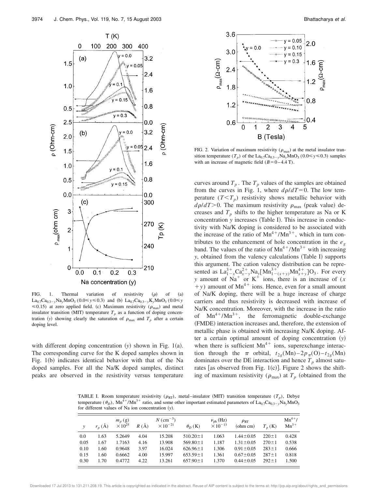

FIG. 1. Thermal variation of resistivity  $(\rho)$  of  $(a)$  $\text{La}_{0.7}\text{Ca}_{0.3-y}\text{Na}_{y}\text{MnO}_3$  (0.0  $\leq y \leq 0.3$ ) and (b)  $\text{La}_{0.7}\text{Ca}_{0.3-y}\text{K}_{y}\text{MnO}_3$  (0.0  $\leq y$  $\leq 0.15$ ) at zero applied field. (c) Maximum resistivity ( $\rho_{\text{max}}$ ) and metal insulator transition (MIT) temperature  $T_p$  as a function of doping concentration (y) showing clearly the saturation of  $\rho_{\text{max}}$  and  $T_p$  after a certain doping level.

with different doping concentration  $(y)$  shown in Fig. 1(a). The corresponding curve for the K doped samples shown in Fig.  $1(b)$  indicates identical behavior with that of the Na doped samples. For all the Na/K doped samples, distinct peaks are observed in the resistivity versus temperature



FIG. 2. Variation of maximum resistivity ( $\rho_{\text{max}}$ ) at the metal insulator transition temperature  $(T_p)$  of the  $\text{La}_{0.7}\text{Ca}_{0.3-y}\text{Na}_y\text{MnO}_3$  (0.0  $\leq y \leq 0.3$ ) samples with an increase of magnetic field  $(B=0-4.4$  T).

curves around  $T_p$ . The  $T_p$  values of the samples are obtained from the curves in Fig. 1, where  $d\rho/dT=0$ . The low temperature  $(T < T_p)$  resistivity shows metallic behavior with  $d\rho/dT$  > 0. The maximum resistivity  $\rho_{\text{max}}$  (peak value) decreases and  $T_p$  shifts to the higher temperature as Na or K concentration *y* increases (Table I). This increase in conductivity with Na/K doping is considered to be associated with the increase of the ratio of  $Mn^{4+}/Mn^{3+}$ , which in turn contributes to the enhancement of hole concentration in the  $e_g$ band. The values of the ratio of  $Mn^{4+}/Mn^{3+}$  with increasing *y*, obtained from the valency calculations (Table I) supports this argument. The cation valency distribution can be represented as  $La_{1-x}^{3+}Ca_{x-y}^{2+}Na_y[Mn_{1-(x+y)}^{3+}Mn_{x+y}^{4+}]O_3$ . For every *y* amount of Na<sup>+</sup> or K<sup>+</sup> ions, there is an increase of (*x*  $+y$ ) amount of Mn<sup>4+</sup> ions. Hence, even for a small amount of Na/K doping, there will be a huge increase of charge carriers and thus resistivity is decreased with increase of Na/K concentration. Moreover, with the increase in the ratio of  $Mn^{4+}/Mn^{3+}$ , the ferromagnetic double-exchange (FMDE) interaction increases and, therefore, the extension of metallic phase is obtained with increasing Na/K doping. After a certain optimal amount of doping concentration  $(y)$ when there is sufficient  $Mn^{4+}$  ions, superexchange interaction through the  $\pi$  orbital,  $t_{2g}(\text{Mn}) - 2p_{\pi}(\text{O}) - t_{2g}(\text{Mn})$ dominates over the DE interaction and hence  $T_p$  almost saturates [as observed from Fig. 1(c)]. Figure 2 shows the shifting of maximum resistivity ( $\rho_{\text{max}}$ ) at  $T_p$  (obtained from the

TABLE I. Room temperature resistivity  $(\rho_{RT})$ , metal–insulator (MIT) transition temperature  $(T_p)$ , Debye temperature ( $\theta_D$ ), Mn<sup>4+</sup>/Mn<sup>3+</sup> ratio, and some other important estimated parameters of La<sub>0.7</sub>Ca<sub>0.3-y</sub>Na<sub>*y*</sub>MnO<sub>3</sub> for different values of Na ion concentration (y).

| v    | $r_n(\check{A})$ | $m_p(g)$<br>$\times 10^{25}$ | $R(\AA)$ | $N$ (cm <sup>-3</sup> )<br>$\times 10^{-21}$ | $\theta_D$ (K) | $\nu_{\rm ph}$ (Hz)<br>$\times 10^{-13}$ | $\rho_{\rm RT}$<br>(ohm cm) | $T_n$ (K)   | $Mn^{4+}/$<br>$Mn^{3+}$ |
|------|------------------|------------------------------|----------|----------------------------------------------|----------------|------------------------------------------|-----------------------------|-------------|-------------------------|
| 0.0  | 1.63             | 5.2649                       | 4.04     | 15.208                                       | $510.20 \pm 1$ | 1.063                                    | $1.44 \pm 0.05$             | $220 \pm 1$ | 0.428                   |
| 0.05 | 1.67             | 1.7163                       | 4.16     | 13.908                                       | $569.80 \pm 1$ | 1.187                                    | $1.31 \pm 0.05$             | $270 \pm 1$ | 0.538                   |
| 0.10 | 1.60             | 0.9648                       | 3.97     | 16.024                                       | $626.96 \pm 1$ | 1.306                                    | $0.91 \pm 0.05$             | $283 \pm 1$ | 0.666                   |
| 0.15 | 1.60             | 0.6662                       | 4.00     | 15.997                                       | $653.59 \pm 1$ | 1.361                                    | $0.67 \pm 0.05$             | $287 \pm 1$ | 0.818                   |
| 0.30 | 1.70             | 0.4772                       | 4.22     | 13.261                                       | $657.90 \pm 1$ | 1.370                                    | $0.44 \pm 0.05$             | $292 \pm 1$ | 1.500                   |

Downloaded 17 Jul 2013 to 131.211.208.19. This article is copyrighted as indicated in the abstract. Reuse of AIP content is subject to the terms at: http://jcp.aip.org/about/rights\_and\_permissions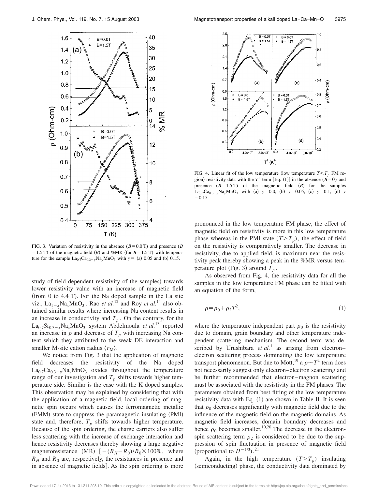

FIG. 3. Variation of resistivity in the absence  $(B=0.0 \text{ T})$  and presence (*B*)  $=1.5$  T) of the magnetic field (*B*) and %MR (for *B* = 1.5 T) with temperature for the sample  $La_{0.7}Ca_{0.3-y}Na_yMnO_3$  with  $y=$  (a) 0.05 and (b) 0.15.

study of field dependent resistivity of the samples) towards lower resistivity value with an increase of magnetic field  $~($ from 0 to 4.4 T $)$ . For the Na doped sample in the La site viz.,  $La_{1-x}Na_xMnO_3$ , Rao *et al.*<sup>12</sup> and Roy *et al.*<sup>14</sup> also obtained similar results where increasing Na content results in an increase in conductivity and  $T_p$ . On the contrary, for the  $La_{0.7}Sr_{0.3-x}Na_xMnO_3$  system Abdelmoula *et al.*<sup>13</sup> reported an increase in  $\rho$  and decrease of  $T_p$  with increasing Na content which they attributed to the weak DE interaction and smaller M-site cation radius  $\langle r_{\rm M} \rangle$ .

We notice from Fig. 3 that the application of magnetic field decreases the resistivity of the Na doped  $La_{0.7}Ca_{0.3-y}Na_yMnO_3$  oxides throughout the temperature range of our investigation and  $T_p$  shifts towards higher temperature side. Similar is the case with the K doped samples. This observation may be explained by considering that with the application of a magnetic field, local ordering of magnetic spin occurs which causes the ferromagnetic metallic (FMM) state to suppress the paramagnetic insulating (PMI) state and, therefore,  $T_p$  shifts towards higher temperature. Because of the spin ordering, the charge carriers also suffer less scattering with the increase of exchange interaction and hence resistivity decreases thereby showing a large negative magnetoresistance (MR)  $[-(R<sub>H</sub>-R<sub>0</sub>)/R<sub>0</sub> \times 100\%$ , where  $R<sub>H</sub>$  and  $R<sub>0</sub>$  are, respectively, the resistances in presence and in absence of magnetic fields]. As the spin ordering is more



FIG. 4. Linear fit of the low temperature (low temperature  $T < T_p$  FM region) resistivity data with the  $T^2$  term [Eq. (1)] in the absence ( $\vec{B}=0$ ) and presence  $(B=1.5 \text{ T})$  of the magnetic field  $(B)$  for the samples  $La_{0.7}Ca_{0.3-y}Na_yMnO_3$  with (a)  $y=0.0$ , (b)  $y=0.05$ , (c)  $y=0.1$ , (d) y  $= 0.15.$ 

pronounced in the low temperature FM phase, the effect of magnetic field on resistivity is more in this low temperature phase whereas in the PMI state  $(T>T_p)$ , the effect of field on the resistivity is comparatively smaller. The decrease in resistivity, due to applied field, is maximum near the resistivity peak thereby showing a peak in the %MR versus temperature plot (Fig. 3) around  $T_p$ .

As observed from Fig. 4, the resistivity data for all the samples in the low temperature FM phase can be fitted with an equation of the form,

$$
\rho = \rho_0 + \rho_2 T^2,\tag{1}
$$

where the temperature independent part  $\rho_0$  is the resistivity due to domain, grain boundary and other temperature independent scattering mechanism. The second term was described by Urushibara et al.<sup>1</sup> as arising from electron– electron scattering process dominating the low temperature transport phenomenon. But due to Mott,  $^{19}$  a  $\rho \sim T^2$  term does not necessarily suggest only electron–electron scattering and he further recommended that electron–magnon scattering must be associated with the resistivity in the FM phases. The parameters obtained from best fitting of the low temperature resistivity data with Eq.  $(1)$  are shown in Table II. It is seen that  $\rho_0$  decreases significantly with magnetic field due to the influence of the magnetic field on the magnetic domains. As magnetic field increases, domain boundary decreases and hence  $\rho_0$  becomes smaller.<sup>10,20</sup> The decrease in the electronspin scattering term  $\rho_2$  is considered to be due to the suppression of spin fluctuation in presence of magnetic field (proportional to  $H^{-1/3}$ ).<sup>21</sup>

Again, in the high temperature  $(T>T_p)$  insulating (semiconducting) phase, the conductivity data dominated by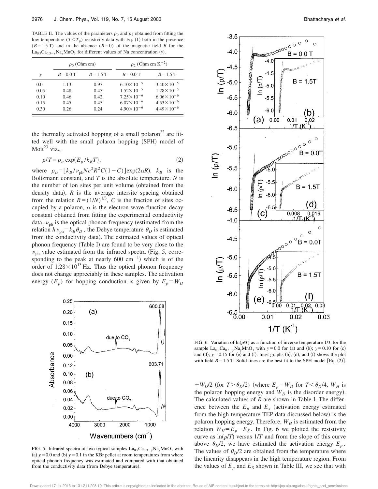TABLE II. The values of the parameters  $\rho_0$  and  $\rho_2$  obtained from fitting the low temperature  $(T < T_p)$  resistivity data with Eq. (1) both in the presence  $(B=1.5 \text{ T})$  and in the absence  $(B=0)$  of the magnetic field *B* for the  $La_{0.7}Ca_{0.3-y}Na_yMnO_3$  for different values of Na concentration (y).

|      | $\rho_0$ (Ohm cm) |             | $\rho_2$ (Ohm cm K <sup>-2</sup> ) |                       |  |  |
|------|-------------------|-------------|------------------------------------|-----------------------|--|--|
| v    | $B = 0.0$ T       | $B = 1.5$ T | $B = 0.0$ T                        | $B = 1.5$ T           |  |  |
| 0.0  | 1.13              | 0.97        | $6.10\times10^{-5}$                | $3.40 \times 10^{-5}$ |  |  |
| 0.05 | 0.48              | 0.45        | $1.52 \times 10^{-5}$              | $1.28 \times 10^{-5}$ |  |  |
| 0.10 | 0.46              | 0.42        | $7.25 \times 10^{-6}$              | $6.06 \times 10^{-6}$ |  |  |
| 0.15 | 0.45              | 0.45        | $6.07 \times 10^{-6}$              | $4.53 \times 10^{-6}$ |  |  |
| 0.30 | 0.26              | 0.24        | $4.90\times10^{-6}$                | $4.49 \times 10^{-6}$ |  |  |

the thermally activated hopping of a small polaron<sup>22</sup> are fitted well with the small polaron hopping (SPH) model of Mott<sup>23</sup> viz..

$$
\rho/T = \rho_{\alpha} \exp(E_p / k_B T),\tag{2}
$$

where  $\rho_{\alpha} = [k_B / \nu_{ph}Ne^2R^2C(1-C)]exp(2\alpha R)$ ,  $k_B$  is the Boltzmann constant, and *T* is the absolute temperature. *N* is the number of ion sites per unit volume (obtained from the density data),  $R$  is the average intersite spacing obtained from the relation  $R = (1/N)^{1/3}$ , *C* is the fraction of sites occupied by a polaron,  $\alpha$  is the electron wave function decay constant obtained from fitting the experimental conductivity data,  $v_{\text{ph}}$  is the optical phonon frequency (estimated from the relation  $h\nu_{\text{ph}} = k_B \theta_D$ , the Debye temperature  $\theta_D$  is estimated from the conductivity data). The estimated values of optical phonon frequency (Table I) are found to be very close to the  $v<sub>ph</sub>$  value estimated from the infrared spectra (Fig. 5, corresponding to the peak at nearly 600 cm<sup>-1</sup>) which is of the order of  $1.28 \times 10^{13}$  Hz. Thus the optical phonon frequency does not change appreciably in these samples. The activation energy  $(E_p)$  for hopping conduction is given by  $E_p = W_H$ 



FIG. 5. Infrared spectra of two typical samples  $La_{0.7}Ca_{0.3}$ <sub>*y*</sub>Na<sub>*y*</sub>MnO<sub>3</sub> with (a)  $y=0.0$  and (b)  $y=0.1$  in the KBr pellet at room temperatures from where optical phonon frequency was estimated and compared with that obtained from the conductivity data (from Debye temperature).



FIG. 6. Variation of  $ln(\rho/T)$  as a function of inverse temperature  $1/T$  for the sample  $La_{0.7}Ca_{0.3-y}Na_yMnO_3$  with  $y=0.0$  for (a) and (b);  $y=0.10$  for (c) and (d);  $y=0.15$  for (e) and (f). Inset graphs (b), (d), and (f) shows the plot with field  $B=1.5$  T. Solid lines are the best fit to the SPH model [Eq. (2)].

 $W_p/2$  (for  $T > \theta_p/2$ ) (where  $E_p = W_p$  for  $T < \theta_p/4$ ,  $W_H$  is the polaron hopping energy and  $W_D$  is the disorder energy). The calculated values of *R* are shown in Table I. The difference between the  $E_p$  and  $E_s$  (activation energy estimated from the high temperature TEP data discussed below) is the polaron hopping energy. Therefore,  $W_H$  is estimated from the relation  $W_H = E_p - E_s$ . In Fig. 6 we plotted the resistivity curve as  $ln(\rho/T)$  versus  $1/T$  and from the slope of this curve above  $\theta_D/2$ , we have estimated the activation energy  $E_p$ . The values of  $\theta_D/2$  are obtained from the temperature where the linearity disappears in the high temperature region. From the values of  $E_p$  and  $E_s$  shown in Table III, we see that with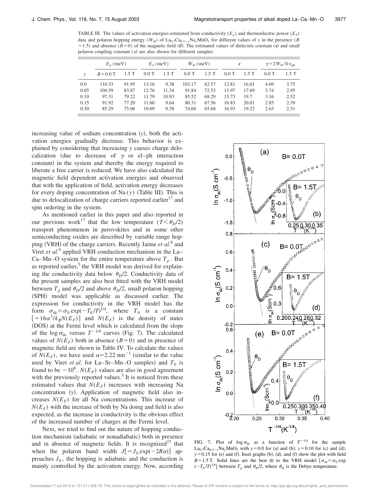TABLE III. The values of activation energies estimated from conductivity  $(E_p)$  and thermoelectric power  $(E_s)$ data and polaron hopping energy  $(W_H)$  of La<sub>0.7</sub>Ca<sub>0.3</sub><sub>y</sub>Na<sub>*y*</sub>MnO<sub>3</sub> for different values of *y* in the presence (*B* =1.5) and absence ( $B=0$ ) of the magnetic field ( $B$ ). The estimated values of dielectric constant ( $\epsilon$ ) and small polaron coupling constant  $(y)$  are also shown for different samples.

|               | $E_n$ (meV) |       | $E_s$ (meV) |         | $W_H$ (meV) |       | $\epsilon$ |       | $\gamma = 2 W_H / h \nu_{\rm ph}$ |      |
|---------------|-------------|-------|-------------|---------|-------------|-------|------------|-------|-----------------------------------|------|
| $\mathcal{V}$ | $B = 0.0$ T | 1.5 T | $0.0$ T     | $1.5$ T | $0.0$ T     | 1.5T  | $0.0$ T    | 1.5T  | $0.0$ T                           | 1.5T |
| 0.0           | 116.33      | 91.95 | 13.16       | 9.38    | 103.17      | 82.57 | 12.81      | 16.01 | 4.69                              | 3.75 |
| 0.05          | 104.59      | 83.87 | 12.76       | 11.34   | 91.84       | 72.53 | 13.97      | 17.69 | 3.74                              | 2.95 |
| 0.10          | 97.31       | 79.22 | 11.79       | 10.93   | 85.52       | 68.29 | 15.73      | 19.7  | 3.16                              | 2.52 |
| 0.15          | 91.92       | 77.20 | 11.60       | 9.64    | 80.31       | 67.56 | 16.83      | 20.01 | 2.85                              | 2.39 |
| 0.30          | 85.29       | 75.06 | 10.69       | 9.38    | 74.60       | 65.68 | 16.93      | 19.23 | 2.63                              | 2.31 |

increasing value of sodium concentration  $(v)$ , both the activation energies gradually decrease. This behavior is explained by considering that increasing *y* causes charge delocalization (due to decrease of  $\gamma$  or el–ph interaction constant) in the system and thereby the energy required to liberate a free carrier is reduced. We have also calculated the magnetic field dependent activation energies and observed that with the application of field, activation energy decreases for every doping concentration of  $Na(y)$  (Table III). This is due to delocalization of charge carriers reported earlier<sup>17</sup> and spin ordering in the system.

As mentioned earlier in this paper and also reported in our previous work<sup>17</sup> that the low temperature  $(T < \theta_D/2)$ transport phenomenon in perovskites and in some other semiconducting oxides are described by variable range hopping (VRH) of the charge carriers. Recently Jaime et al.<sup>8</sup> and Viret *et al.*<sup>9</sup> applied VRH conduction mechanism in the La– Ca–Mn–O system for the entire temperature above  $T_p$ . But as reported earlier,<sup>5</sup> the VRH model was derived for explaining the conductivity data below  $\theta_D/2$ . Conductivity data of the present samples are also best fitted with the VRH model between  $T_p$  and  $\theta_p/2$  and above  $\theta_p/2$ , small polaron hopping (SPH) model was applicable as discussed earlier. The expression for conductivity in the VRH model has the form  $\sigma_{dc} = \sigma_0 \exp(-T_0/T)^{1/4}$ , where  $T_0$  is a constant  $[=16\alpha^3/k_BN(E_F)]$  and  $N(E_F)$  is the density of states (DOS) at the Fermi level which is calculated from the slope of the log  $\sigma_{dc}$  versus  $T^{-1/4}$  curves (Fig. 7). The calculated values of  $N(E_F)$  both in absence ( $B=0$ ) and in presence of magnetic field are shown in Table IV. To calculate the values of  $N(E_F)$ , we have used  $\alpha=2.22$  nm<sup>-1</sup> (similar to the value used by Viret *et al.* for La–Sr–Mn–O samples) and  $T_0$  is found to be  $\sim 10^6$ . *N*(*E<sub>F</sub>*) values are also in good agreement with the previously reported values.<sup>5</sup> It is noticed from these estimated values that  $N(E_F)$  increases with increasing Na concentration (y). Application of magnetic field also increases  $N(E_F)$  for all Na concentrations. This increase of  $N(E_F)$  with the increase of both by Na doing and field is also expected, as the increase in conductivity is the obvious effect of the increased number of charges at the Fermi level.

Next, we tried to find out the nature of hopping conduction mechanism (adiabatic or nonadiabatic) both in presence and in absence of magnetic fields. It is recognized<sup>23</sup> that when the polaron band width  $J[-J_0 \exp(-2R\alpha)]$  approaches  $J_0$ , the hopping is adiabatic and the conduction is mainly controlled by the activation energy. Now, according



FIG. 7. Plot of  $\log \sigma_{dc}$  as a function of  $T^{-1/4}$  for the sample  $La_{0.7}Ca_{0.3-y}Na_{y}MnO_3$  with  $y=0.0$  for (a) and (b);  $y=0.10$  for (c) and (d);  $y=0.15$  for (e) and (f). Inset graphs (b), (d), and (f) show the plot with field *B*=1.5 T. Solid lines are the best fit to the VRH model  $\sigma_{dc} = \sigma_0 \exp(\sigma_0 t)$  $(-T_0/T)^{1/4}$  between  $T_p$  and  $\theta_D/2$ , where  $\theta_D$  is the Debye temperature.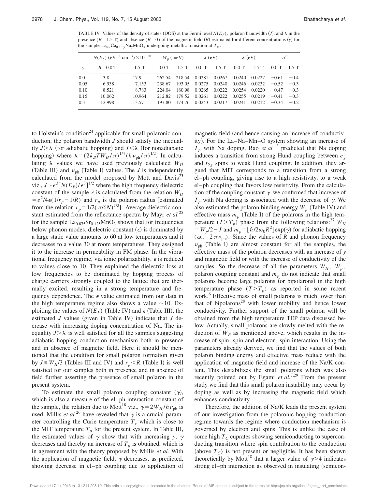TABLE IV. Values of the density of states (DOS) at the Fermi level  $N(E_F)$ , polaron bandwidth  $(J)$ , and  $\lambda$  in the presence ( $B=1.5$  T) and absence ( $B=0$ ) of the magnetic field ( $B$ ) estimated for different concentrations (*y*) for the sample  $\text{La}_{0.7}\text{Ca}_{0.3-y}\text{Na}_y\text{MnO}_3$  undergoing metallic transition at  $T_p$ .

|               | $N(E_F)$ (eV <sup>-1</sup> cm <sup>-3</sup> ) $\times 10^{-20}$ |        | $W_n$ (meV) |        | $J$ (eV)      |               | $\lambda$ (eV) |                 | $\alpha'$ |         |
|---------------|-----------------------------------------------------------------|--------|-------------|--------|---------------|---------------|----------------|-----------------|-----------|---------|
| $\mathcal{V}$ | $B = 0.0$ T                                                     | 1.5T   | $0.0$ T     | 1.5T   | 0.0T          | 1.5T          | $0.0$ T        | 1.5T            | $0.0$ T   | $1.5$ T |
| $0.0^{\circ}$ | 3.8                                                             | 17.9   | 262.54      |        | 218.54 0.0281 | 0.0267        | 0.0240         | 0.0227          | $-0.61$   | $-0.4$  |
| 0.05          | 6.938                                                           | 7.153  | 238.67      | 193.05 | 0.0275        | 0.0240        | 0.0246         | $0.0232 - 0.52$ |           | $-0.3$  |
| 0.10          | 8.521                                                           | 8.783  | 224.04      | 180.98 |               | 0.0265 0.0222 |                | 0.0254 0.0220   | $-0.47$   | $-0.3$  |
| 0.15          | 10.062                                                          | 10.964 | 212.82      | 179.52 | 0.0261        | 0.0222        | 0.0255         | 0.0219          | $-0.41$   | $-0.3$  |
| 0.3           | 12.998                                                          | 13.571 | 197.80      |        | 174.76 0.0243 | 0.0217        | 0.0241         | $0.0212 - 0.34$ |           | $-0.2$  |

to Holstein's condition<sup>24</sup> applicable for small polaronic conduction, the polaron bandwidth *J* should satisfy the inequality  $J > \lambda$  (for adiabatic hopping) and  $J < \lambda$  (for nonadiabatic hopping) where  $\lambda = (2k_B T W_H / \pi)^{1/4} (h \nu_{ph} / \pi)^{1/2}$ . In calculating  $\lambda$  values we have used previously calculated  $W_H$ (Table III) and  $v_{\text{ph}}$  (Table I) values. The *J* is independently calculated from the model proposed by Mott and  $Davis^{23}$ viz.,  $J \sim e^3 [N(E_F)/\epsilon^3]^{1/2}$  where the high frequency dielectric constant of the sample  $\epsilon$  is calculated from the relation  $W_H$  $= e^2/4\epsilon(1/r_p - 1/R)$  and  $r_p$  is the polaron radius [estimated from the relation  $r_p = 1/2(\pi/6N)^{1/3}$ . Average dielectric constant estimated from the reflectance spectra by Mayr *et al.*<sup>25</sup> for the sample  $La_{0.875}Sr_{0.125}MnO_3$  shows that for frequencies below phonon modes, dielectric constant  $(\epsilon)$  is dominated by a large static value amounts to 60 at low temperatures and it decreases to a value 30 at room temperatures. They assigned it to the increase in permeability in FM phase. In the vibrational frequency regime, via ionic polarizability,  $\epsilon$  is reduced to values close to 10. They explained the dielectric loss at low frequencies to be dominated by hopping process of charge carriers strongly coupled to the lattice that are thermally excited, resulting in a strong temperature and frequency dependence. The  $\epsilon$  value estimated from our data in the high temperature regime also shows a value  $\sim$ 10. Exploiting the values of  $N(E_F)$  (Table IV) and  $\epsilon$  (Table III), the estimated  $J$  values (given in Table IV) indicate that  $J$  decrease with increasing doping concentration of Na. The inequality  $J > \lambda$  is well satisfied for all the samples suggesting adiabatic hopping conduction mechanism both in presence and in absence of magnetic field. Here it should be mentioned that the condition for small polaron formation given by  $J \leq W_H/3$  (Tables III and IV) and  $r_p < R$  (Table I) is well satisfied for our samples both in presence and in absence of field further asserting the presence of small polaron in the present system.

To estimate the small polaron coupling constant  $(\gamma)$ , which is also a measure of the el–ph interaction constant of the sample, the relation due to Mott<sup>18</sup> viz.,  $\gamma = 2W_H/h \nu_{ph}$  is used. Millis *et al.*<sup>26</sup> have revealed that  $\gamma$  is a crucial parameter controlling the Curie temperature  $T_c$  which is close to the MIT temperature  $T_p$  for the present system. In Table III, the estimated values of  $\gamma$  show that with increasing *y*,  $\gamma$ decreases and thereby an increase of  $T_p$  is obtained, which is in agreement with the theory proposed by Millis *et al.* With the application of magnetic field,  $\gamma$  decreases, as predicted, showing decrease in el–ph coupling due to application of magnetic field (and hence causing an increase of conductivity). For the La–Na–Mn–O system showing an increase of  $T_p$  with Na doping, Rao *et al.*<sup>12</sup> predicted that Na doping induces a transition from strong Hund coupling between *e<sup>g</sup>* and  $t_{2g}$  spins to weak Hund coupling. In addition, they argued that MIT corresponds to a transition from a strong el–ph coupling, giving rise to a high resistivity, to a weak el–ph coupling that favors low resistivity. From the calculation of the coupling constant  $\gamma$ , we confirmed that increase of  $T_p$  with Na doping is associated with the decrease of  $\gamma$ . We also estimated the polaron binding energy  $W_p$  (Table IV) and effective mass  $m_p$  (Table I) of the polarons in the high temperature  $(T>T_p)$  phase from the following relations:<sup>27</sup>  $W_H$  $W_p/2 - J$  and  $m_p = [\hbar/2\omega_0 R^2] \exp(\gamma)$  for adiabatic hopping  $(\omega_0 = 2 \pi \nu_{ph})$ . Since the values of *R* and phonon frequency  $v_{ph}$  (Table I) are almost constant for all the samples, the effective mass of the polaron decreases with an increase of *y* and magnetic field or with the increase of conductivity of the samples. So the decrease of all the parameters  $W_H$ ,  $W_p$ , polaron coupling constant and  $m_p$  do not indicate that small polarons become large polarons (or bipolarons) in the high temperature phase  $(T>T_p)$  as reported in some recent work.<sup>6</sup> Effective mass of small polarons is much lower than that of bipolarons<sup>28</sup> with lower mobility and hence lower conductivity. Further support of the small polaron will be obtained from the high temperature TEP data discussed below. Actually, small polarons are slowly melted with the reduction of  $W_p$  as mentioned above, which results in the increase of spin–spin and electron–spin interaction. Using the parameters already derived, we find that the values of both polaron binding energy and effective mass reduce with the application of magnetic field and increase of the Na/K content. This destabilizes the small polarons which was also recently pointed out by Egami *et al.*7,29 From the present study we find that this small polaron instability may occur by doping as well as by increasing the magnetic field which enhances conductivity.

Therefore, the addition of Na/K leads the present system of our investigation from the polaronic hopping conduction regime towards the regime where conduction mechanism is governed by electron and spins. This is unlike the case of some high  $T_C$  cuprates showing semiconducting to superconducting transition where spin contribution to the conduction (above  $T_C$ ) is not present or negligible. It has been shown theoretically by Mott<sup>18</sup> that a larger value of  $\gamma$  indicates strong el–ph interaction as observed in insulating (semicon-

Downloaded 17 Jul 2013 to 131.211.208.19. This article is copyrighted as indicated in the abstract. Reuse of AIP content is subject to the terms at: http://jcp.aip.org/about/rights\_and\_permissions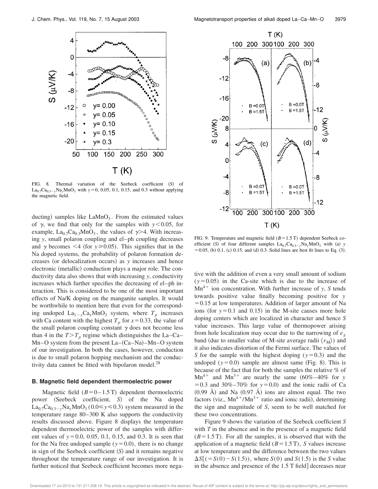

FIG. 8. Thermal variation of the Seebeck coefficient (S) of  $La_{0.7}Ca_{0.3-y}Na_yMnO_3$  with  $y=0$ , 0.05, 0.1, 0.15, and 0.3 without applying the magnetic field.

ducting) samples like  $\text{LaMnO}_3$ . From the estimated values of  $\gamma$ , we find that only for the samples with  $y$ <0.05, for example,  $La_{0.7}Ca_{0.3}MnO_3$ , the values of  $\gamma$ >4. With increasing *y*, small polaron coupling and el–ph coupling decreases and  $\gamma$  becomes <4 (for  $y \ge 0.05$ ). This signifies that in the Na doped systems, the probability of polaron formation decreases (or delocalization occurs) as *y* increases and hence electronic (metallic) conduction plays a major role. The conductivity data also shows that with increasing *y*, conductivity increases which further specifies the decreasing of el–ph interaction. This is considered to be one of the most important effects of Na/K doping on the manganite samples. It would be worthwhile to mention here that even for the corresponding undoped  $\text{La}_{1-x}\text{Ca}_x\text{MnO}_3$  system, where  $T_p$  increases with Ca content with the highest  $T_p$  for  $x=0.33$ , the value of the small polaron coupling constant  $\gamma$  does not become less than 4 in the  $T>T_p$  regime which distinguishes the La–Ca–  $Mn-O$  system from the present  $La-(Ca-Na)-Mn-O$  system of our investigation. In both the cases, however, conduction is due to small polaron hopping mechanism and the conductivity data cannot be fitted with bipolaron model.<sup>28</sup>

#### **B. Magnetic field dependent thermoelectric power**

Magnetic field  $(B=0-1.5 \text{ T})$  dependent thermoelectric power (Seebeck coefficient, *S*) of the Na doped  $\text{La}_{0.7}\text{Ca}_{0.3-y}\text{Na}_{y}\text{MnO}_3$  (0.0  $\leq y \leq 0.3$ ) system measured in the temperature range 80–300 K also supports the conductivity results discussed above. Figure 8 displays the temperature dependent thermoelectric power of the samples with different values of  $y=0.0, 0.05, 0.1, 0.15,$  and 0.3. It is seen that for the Na free undoped sample  $(y=0.0)$ , there is no change in sign of the Seebeck coefficient  $(S)$  and it remains negative throughout the temperature range of our investigation. It is further noticed that Seebeck coefficient becomes more nega-



FIG. 9. Temperature and magnetic field  $(B=1.5 \text{ T})$  dependent Seebeck coefficient (S) of four different samples  $La_{0.7}Ca_{0.3}$ <sub>*y*</sub>Na<sub>*y*</sub>MnO<sub>3</sub> with (a) *y*  $50.05$ , (b) 0.1, (c) 0.15, and (d) 0.3. Solid lines are best fit lines to Eq. (3).

tive with the addition of even a very small amount of sodium  $(y=0.05)$  in the Ca-site which is due to the increase of  $Mn^{4+}$  ion concentration. With further increase of *y*, *S* tends towards positive value finally becoming positive for *y*  $=0.15$  at low temperatures. Addition of larger amount of Na ions (for  $y=0.1$  and 0.15) in the M-site causes more hole doping centers which are localized in character and hence *S* value increases. This large value of thermopower arising from hole localization may occur due to the narrowing of *e<sup>g</sup>* band (due to smaller value of M-site average radii  $\langle r_{\rm M} \rangle$ ) and it also indicates distortion of the Fermi surface. The values of *S* for the sample with the highest doping ( $y=0.3$ ) and the undoped  $(y=0.0)$  sample are almost same (Fig. 8). This is because of the fact that for both the samples the relative % of  $Mn^{4+}$  and  $Mn^{3+}$  are nearly the same  $(60\% - 40\%$  for *y*  $=0.3$  and  $30\% -70\%$  for  $y=0.0$ ) and the ionic radii of Ca  $(0.99 \text{ Å})$  and Na  $(0.97 \text{ Å})$  ions are almost equal. The two factors (viz.,  $Mn^{4+}/Mn^{3+}$  ratio and ionic radii), determining the sign and magnitude of *S*, seem to be well matched for these two concentrations.

Figure 9 shows the variation of the Seebeck coefficient *S* with *T* in the absence and in the presence of a magnetic field  $(B=1.5 \text{ T})$ . For all the samples, it is observed that with the application of a magnetic field  $(B=1.5 \text{ T})$ , *S* values increase at low temperature and the difference between the two values  $\Delta S[(=S(0)-S(1.5))$ , where *S*(0) and *S*(1.5) is the *S* value in the absence and presence of the  $1.5$  T field decreases near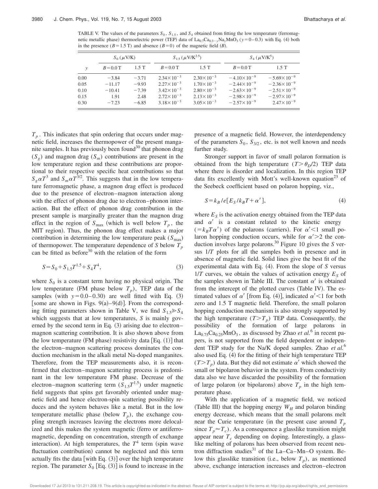TABLE V. The values of the parameters  $S_0$ ,  $S_{1.5}$ , and  $S_4$  obtained from fitting the low temperature (ferromagnetic metallic phase) thermoelectric power (TEP) data of  $La_{0.7}Ca_{0.3-y}Na_yMnO_3$  ( $y=0-0.3$ ) with Eq. (4) both in the presence ( $B=1.5$  T) and absence ( $B=0$ ) of the magnetic field (*B*).

|               | $S_0$ ( $\mu$ V/K) |         | $S_{1.5}(\mu V/K^{2.5})$ |                       | $S_4$ ( $\mu$ V/K <sup>5</sup> ) |                       |  |
|---------------|--------------------|---------|--------------------------|-----------------------|----------------------------------|-----------------------|--|
| $\mathcal{V}$ | $B = 0.0$ T        | 1.5T    | $B = 0.0$ T              | 1.5T                  | $B = 0.0$ T                      | 1.5T                  |  |
| 0.00          | $-3.84$            | $-3.71$ | $2.34 \times 10^{-3}$    | $2.30 \times 10^{-3}$ | $-4.10\times10^{-9}$             | $-5.69\times10^{-9}$  |  |
| 0.05          | $-11.17$           | $-9.93$ | $2.27 \times 10^{-3}$    | $1.70 \times 10^{-3}$ | $-2.44\times10^{-9}$             | $-2.36\times10^{-9}$  |  |
| 0.10          | $-10.41$           | $-7.39$ | $3.42 \times 10^{-3}$    | $2.80\times10^{-3}$   | $-2.63\times10^{-9}$             | $-2.51\times10^{-9}$  |  |
| 0.15          | 1.91               | 2.48    | $2.72 \times 10^{-3}$    | $2.13 \times 10^{-3}$ | $-2.98\times10^{-9}$             | $-2.97\times10^{-9}$  |  |
| 0.30          | $-7.23$            | $-6.85$ | $3.18 \times 10^{-3}$    | $3.05 \times 10^{-3}$ | $-2.57\times10^{-9}$             | $2.47 \times 10^{-9}$ |  |

 $T_p$ . This indicates that spin ordering that occurs under magnetic field, increases the thermopower of the present manganite samples. It has previously been found<sup>30</sup> that phonon drag  $(S_g)$  and magnon drag  $(S_m)$  contributions are present in the low temperature region and these contributions are proportional to their respective specific heat contributions so that  $S_g \alpha T^3$  and  $S_m \alpha T^{3/2}$ . This suggests that in the low temperature ferromagnetic phase, a magnon drag effect is produced due to the presence of electron–magnon interaction along with the effect of phonon drag due to electron–phonon interaction. But the effect of phonon drag contribution in the present sample is marginally greater than the magnon drag effect in the region of  $S_{\text{max}}$  (which is well below  $T_p$ , the MIT region). Thus, the phonon drag effect makes a major contribution in determining the low temperature peak  $(S_{\text{max}})$ of thermopower. The temperature dependence of *S* below *T<sup>p</sup>* can be fitted as before<sup>30</sup> with the relation of the form

$$
S = S_0 + S_{1.5}T^{1.5} + S_4T^4,
$$
\n(3)

where  $S_0$  is a constant term having no physical origin. The low temperature (FM phase below  $T_p$ ), TEP data of the samples (with  $y=0.0-0.30$ ) are well fitted with Eq.  $(3)$ [some are shown in Figs.  $9(a) - 9(d)$ ]. From the corresponding fitting parameters shown in Table V, we find  $S_{1.5} \ge S_4$ which suggests that at low temperatures, *S* is mainly governed by the second term in Eq.  $(3)$  arising due to electron– magnon scattering contribution. It is also shown above from the low temperature (FM phase) resistivity data [Eq.  $(1)$ ] that the electron–magnon scattering process dominates the conduction mechanism in the alkali metal Na-doped manganites. Therefore, from the TEP measurements also, it is reconfirmed that electron–magnon scattering process is predominant in the low temperature FM phase. Decrease of the electron–magnon scattering term (*S*1.5*T* 1.5) under magnetic field suggests that spins get favorably oriented under magnetic field and hence electron-spin scattering possibility reduces and the system behaves like a metal. But in the low temperature metallic phase (below  $T_p$ ), the exchange coupling strength increases leaving the electrons more delocalized and this makes the system magnetic (ferro or antiferromagnetic, depending on concentration, strength of exchange interaction). At high temperatures, the  $T^4$  term (spin wave fluctuation contribution) cannot be neglected and this term actually fits the data [with Eq.  $(3)$ ] over the high temperature region. The parameter  $S_0$  [Eq.  $(3)$ ] is found to increase in the presence of a magnetic field. However, the interdependency of the parameters  $S_0$ ,  $S_{3/2}$ , etc. is not well known and needs further study.

Stronger support in favor of small polaron formation is obtained from the high temperature  $(T > \theta_p/2)$  TEP data where there is disorder and localization. In this region TEP data fits excellently with Mott's well-known equation<sup>23</sup> of the Seebeck coefficient based on polaron hopping, viz.,

$$
S = k_B / e[E_S / k_B T + \alpha'], \qquad (4)
$$

where  $E<sub>S</sub>$  is the activation energy obtained from the TEP data and  $\alpha'$  is a constant related to the kinetic energy  $(=k_B T \alpha')$  of the polarons (carriers). For  $\alpha' < 1$  small polaron hopping conduction occurs, while for  $\alpha' > 2$  the conduction involves large polarons.<sup>30</sup> Figure 10 gives the *S* versus 1/*T* plots for all the samples both in presence and in absence of magnetic field. Solid lines give the best fit of the experimental data with Eq.  $(4)$ . From the slope of *S* versus  $1/T$  curves, we obtain the values of activation energy  $E<sub>S</sub>$  of the samples shown in Table III. The constant  $\alpha'$  is obtained from the intercept of the plotted curves (Table IV). The estimated values of  $\alpha'$  from Eq. (4), indicated  $\alpha' < 1$  for both zero and 1.5 T magnetic field. Therefore, the small polaron hopping conduction mechanism is also strongly supported by the high temperature  $(T>T_p)$  TEP data. Consequently, the possibility of the formation of large polarons in  $\text{La}_{0.75}\text{Ca}_{0.25}\text{MnO}_3$ , as discussed by Zhao *et al.*<sup>6</sup> in recent papers, is not supported from the field dependent or independent TEP study for the Na/K doped samples. Zhao *et al.*<sup>6</sup> also used Eq.  $(4)$  for the fitting of their high temperature TEP  $(T>T_p)$  data. But they did not estimate  $\alpha'$  which showed the small or bipolaron behavior in the system. From conductivity data also we have discarded the possibility of the formation of large polaron (or bipolarons) above  $T_p$  in the high temperature phase.

With the application of a magnetic field, we noticed (Table III) that the hopping energy  $W_H$  and polaron binding energy decrease, which means that the small polarons melt near the Curie temperature (in the present case around  $T_p$ since  $T_p \approx T_c$ ). As a consequence a glasslike transition might appear near *T<sup>c</sup>* depending on doping. Interestingly, a glasslike melting of polarons has been observed from recent neutron diffraction studies<sup>31</sup> of the La–Ca–Mn–O system. Below this glasslike transition (i.e., below  $T_p$ ), as mentioned above, exchange interaction increases and electron–electron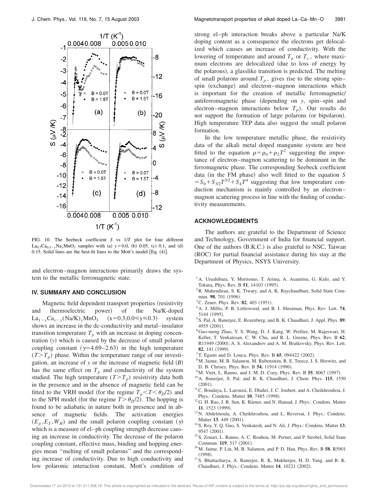

FIG. 10. The Seebeck coefficient *S* vs 1/*T* plot for four different  $La_{0.7}Ca_{0.3-y}Na_yMnO_3$  samples with (a)  $y=0.0$ , (b) 0.05, (c) 0.1, and (d) 0.15. Solid lines are the best-fit lines to the Mott's model [Eq.  $(4)$ ].

and electron–magnon interactions primarily draws the system to the metallic ferromagnetic state.

#### **IV. SUMMARY AND CONCLUSION**

Magnetic field dependent transport properties (resistivity and thermoelectric power) of the Na/K-doped  $La_{1-x}Ca_{x-y} (Na/K)_y MnO_3$  (x=0.3,0.0≤y≤0.3) system shows an increase in the dc-conductivity and metal–insulator transition temperature  $T_p$  with an increase in doping concentration  $(y)$  which is caused by the decrease of small polaron coupling constant  $(\gamma=4.69-2.63)$  in the high temperature  $(T>T_p)$  phase. Within the temperature range of our investigation, an increase of  $y$  or the increase of magnetic field  $(B)$ has the same effect on  $T_p$  and conductivity of the system studied. The high temperature  $(T>T_p)$  resistivity data both in the presence and in the absence of magnetic field can be fitted to the VRH model (for the regime  $T_p \le T \le \theta_p/2$ ) and to the SPH model (for the regime  $T > \theta_D/2$ ). The hopping is found to be adiabatic in nature both in presence and in absence of magnetic fields. The activation energies  $(E_p, E_s, W_H)$  and the small polaron coupling constant  $(\gamma)$ which is a measure of el–ph coupling strength decrease causing an increase in conductivity. The decrease of the polaron coupling constant, effective mass, binding and hopping energies mean ''melting of small polarons'' and the corresponding increase of conductivity. Due to high conductivity and low polaronic interaction constant, Mott's condition of strong el–ph interaction breaks above a particular Na/K doping content as a consequence the electrons get delocalized which causes an increase of conductivity. With the lowering of temperature and around  $T_p$  or  $T_c$ , where maximum electrons are delocalized (due to loss of energy by the polarons), a glasslike transition is predicted. The melting of small polarons around  $T_p$ , gives rise to the strong spin– spin (exchange) and electron–magnon interactions which is important for the creation of metallic ferromagnetic/ antiferromagnetic phase (depending on *y*, spin–spin and electron–magnon interactions below  $T_p$ ). Our results do not support the formation of large polarons (or bipolaron). High temperature TEP data also suggest the small polaron formation.

In the low temperature metallic phase, the resistivity data of the alkali metal doped manganite system are best fitted to the equation  $\rho = \rho_0 + \rho_2 T^2$  suggesting the importance of electron–magnon scattering to be dominant in the ferromagnetic phase. The corresponding Seebeck coefficient data (in the FM phase) also well fitted to the equation *S*  $=S_0 + S_{3/2}T^{3/2} + S_4T^4$  suggesting that low temperature conduction mechanism is mainly controlled by an electron– magnon scattering process in line with the finding of conductivity measurements.

#### **ACKNOWLEDGMENTS**

The authors are grateful to the Department of Science and Technology, Government of India for financial support. One of the authors  $(B.K.C.)$  is also grateful to NSC, Taiwan (ROC) for partial financial assistance during his stay at the Department of Physics, NSYS University.

- <sup>1</sup>A. Urushibara, Y. Moritomo, T. Arima, A. Asamitsu, G. Kido, and Y. Tokura, Phys. Rev. B 51, 14103 (1995).
- <sup>2</sup>R. Mahendiran, S. K. Tiwary, and A. K. Raychaudhuri, Solid State Commun. 98, 701 (1996).
- ${}^{3}$ C. Zener, Phys. Rev. **82**, 403 (1951).
- <sup>4</sup>A. J. Millis, P. B. Littlewood, and B. I. Shraiman, Phys. Rev. Lett. **74**, 5144 (1995).
- <sup>5</sup>S. Pal, A. Banerjee, E. Rozenberg, and B. K. Chaudhuri, J. Appl. Phys. **89**, 4955 (2001).
- <sup>6</sup>Guo-meng Zhao, Y. S. Wang, D. J. Kang, W. Prellier, M. Rajeswari, H. Keller, T. Venkatesan, C. W. Chu, and R. L. Greene, Phys. Rev. B **62**, R11949 (2000); A. S. Alexandrov and A. M. Bratkovsky, Phys. Rev. Lett. **82**, 141 (1999).
- ${}^{7}$ T. Egami and D. Louca, Phys. Rev. B 65, 094422 (2002).
- <sup>8</sup>M. Jaime, M. B. Salamon, M. Rubenstein, R. E. Treece, J. S. Horwitz, and D. B. Chrisey, Phys. Rev. B 54, 11914 (1996).
- <sup>9</sup>M. Viret, L. Ranno, and J. M. D. Coey, Phys. Rev. B 55, 8067 (1997).
- <sup>10</sup>A. Banerjee, S. Pal, and B. K. Chaudhuri, J. Chem. Phys. **115**, 1550  $(2001)$ .
- <sup>11</sup>C. Boudaya, L. Laroussi, E. Dhahri, J. C. Joubert, and A. Cheikhrouhou, J. Phys.: Condens. Matter 10, 7485 (1998).
- <sup>12</sup>G. H. Rao, J. R. Sun, K. Bärner, and N. Hamad, J. Phys.: Condens. Matter **11**, 1523 (1999).
- <sup>13</sup>N. Abdelmoula, A. Cheikhrouhou, and L. Reversat, J. Phys.: Condens. Matter 13, 449 (2001).
- <sup>14</sup>S. Roy, Y. Q. Guo, S. Venkatesh, and N. Ali, J. Phys.: Condens. Matter **13**, 9547 (2001).
- <sup>15</sup>S. Zouari, L. Ranno, A. C. Rouhou, M. Pernet, and P. Strobel, Solid State Commun. 119, 517 (2001).
- <sup>16</sup>M. Jaime, P. Lin, M. B. Salamon, and P. D. Han, Phys. Rev. B **58**, R5901  $(1998).$
- <sup>17</sup>S. Bhattacharya, A. Banerjee, R. K. Mukherjee, H. D. Yang, and B. K. Chaudhuri, J. Phys.: Condens. Matter **14**, 10221 (2002).